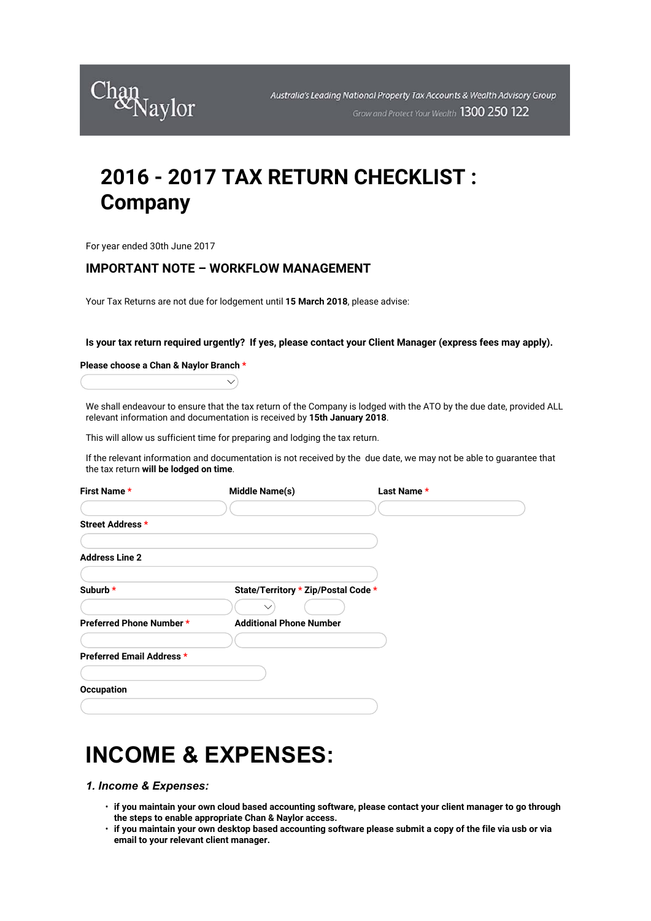

# **2016 - 2017 TAX RETURN CHECKLIST : Company**

For year ended 30th June 2017

# **IMPORTANT NOTE – WORKFLOW MANAGEMENT**

Your Tax Returns are not due for lodgement until **15 March 2018**, please advise:

#### **Is your tax return required urgently? If yes, please contact your Client Manager (express fees may apply).**

#### **Please choose a Chan & Naylor Branch \***

We shall endeavour to ensure that the tax return of the Company is lodged with the ATO by the due date, provided ALL relevant information and documentation is received by **15th January 2018**.

This will allow us sufficient time for preparing and lodging the tax return.

 $\vee$ 

If the relevant information and documentation is not received by the due date, we may not be able to guarantee that the tax return **will be lodged on time**.

| First Name*               | <b>Middle Name(s)</b>               | Last Name * |
|---------------------------|-------------------------------------|-------------|
|                           |                                     |             |
| Street Address *          |                                     |             |
|                           |                                     |             |
| <b>Address Line 2</b>     |                                     |             |
|                           |                                     |             |
| Suburb *                  | State/Territory * Zip/Postal Code * |             |
|                           |                                     |             |
| Preferred Phone Number *  | <b>Additional Phone Number</b>      |             |
|                           |                                     |             |
| Preferred Email Address * |                                     |             |
|                           |                                     |             |
| Occupation                |                                     |             |
|                           |                                     |             |

# **INCOME & EXPENSES:**

#### *1. Income & Expenses:*

- **if you maintain your own cloud based accounting software, please contact your client manager to go through the steps to enable appropriate Chan & Naylor access.**
- **if you maintain your own desktop based accounting software please submit a copy of the file via usb or via email to your relevant client manager.**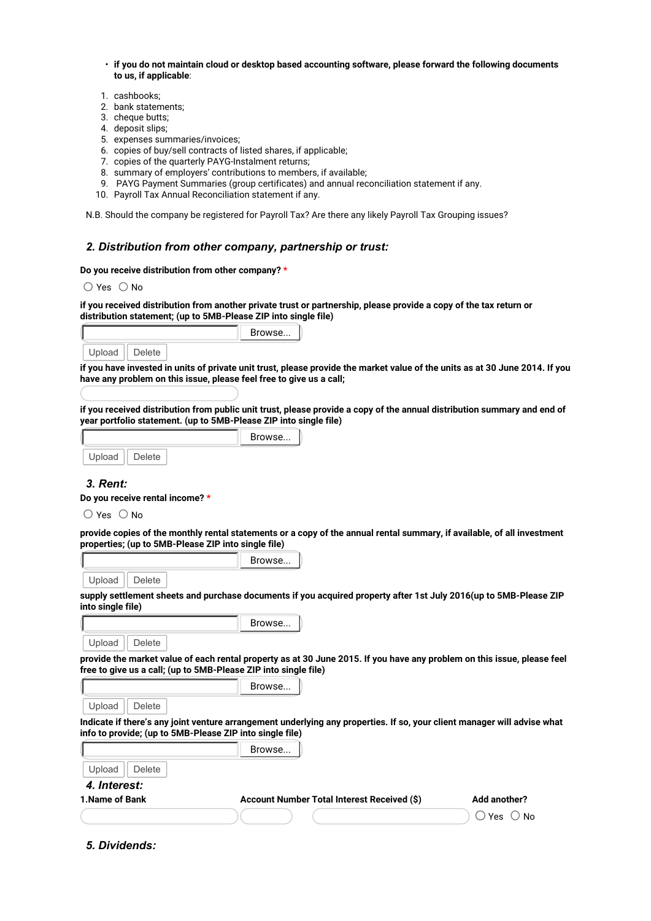- **if you do not maintain cloud or desktop based accounting software, please forward the following documents to us, if applicable**:
- 1. cashbooks;
- 2. bank statements;
- 3. cheque butts:
- 4. deposit slips;
- 5. expenses summaries/invoices;
- 6. copies of buy/sell contracts of listed shares, if applicable;
- 7. copies of the quarterly PAYG-Instalment returns;
- 8. summary of employers' contributions to members, if available;
- 9. PAYG Payment Summaries (group certificates) and annual reconciliation statement if any.
- 10. Payroll Tax Annual Reconciliation statement if any.

N.B. Should the company be registered for Payroll Tax? Are there any likely Payroll Tax Grouping issues?

#### *2. Distribution from other company, partnership or trust:*

**Do you receive distribution from other company? \***

 $\bigcirc$  Yes  $\bigcirc$  No

4

**if you received distribution from another private trust or partnership, please provide a copy of the tax return or distribution statement; (up to 5MB-Please ZIP into single file)**

Browse...

| Upload | Delete |  |
|--------|--------|--|

**if you have invested in units of private unit trust, please provide the market value of the units as at 30 June 2014. If you have any problem on this issue, please feel free to give us a call;**

**if you received distribution from public unit trust, please provide a copy of the annual distribution summary and end of year portfolio statement. (up to 5MB-Please ZIP into single file)**

|        |               | Browse |
|--------|---------------|--------|
| Upload | <b>Delete</b> |        |

*3. Rent:*

**Do you receive rental income? \***

 $\bigcirc$  Yes  $\bigcirc$  No

**provide copies of the monthly rental statements or a copy of the annual rental summary, if available, of all investment properties; (up to 5MB-Please ZIP into single file)**

|                                                          |                                                                                                                          | Yes $\cup$<br>∵No |
|----------------------------------------------------------|--------------------------------------------------------------------------------------------------------------------------|-------------------|
| 1.Name of Bank                                           | Account Number Total Interest Received (\$)                                                                              | Add another?      |
| 4. Interest:                                             |                                                                                                                          |                   |
| Upload<br>Delete                                         |                                                                                                                          |                   |
|                                                          | Browse                                                                                                                   |                   |
| info to provide; (up to 5MB-Please ZIP into single file) |                                                                                                                          |                   |
|                                                          | Indicate if there's any joint venture arrangement underlying any properties. If so, your client manager will advise what |                   |
| Upload<br>Delete                                         |                                                                                                                          |                   |
|                                                          | Browse                                                                                                                   |                   |
|                                                          | free to give us a call; (up to 5MB-Please ZIP into single file)                                                          |                   |
|                                                          | provide the market value of each rental property as at 30 June 2015. If you have any problem on this issue, please feel  |                   |
| Upload<br>Delete                                         |                                                                                                                          |                   |
|                                                          | Browse                                                                                                                   |                   |
| into single file)                                        | supply settlement sheets and purchase documents if you acquired property after 1st July 2016(up to 5MB-Please ZIP        |                   |
|                                                          |                                                                                                                          |                   |
| Upload<br><b>Delete</b>                                  |                                                                                                                          |                   |
|                                                          | Browse                                                                                                                   |                   |

*5. Dividends:*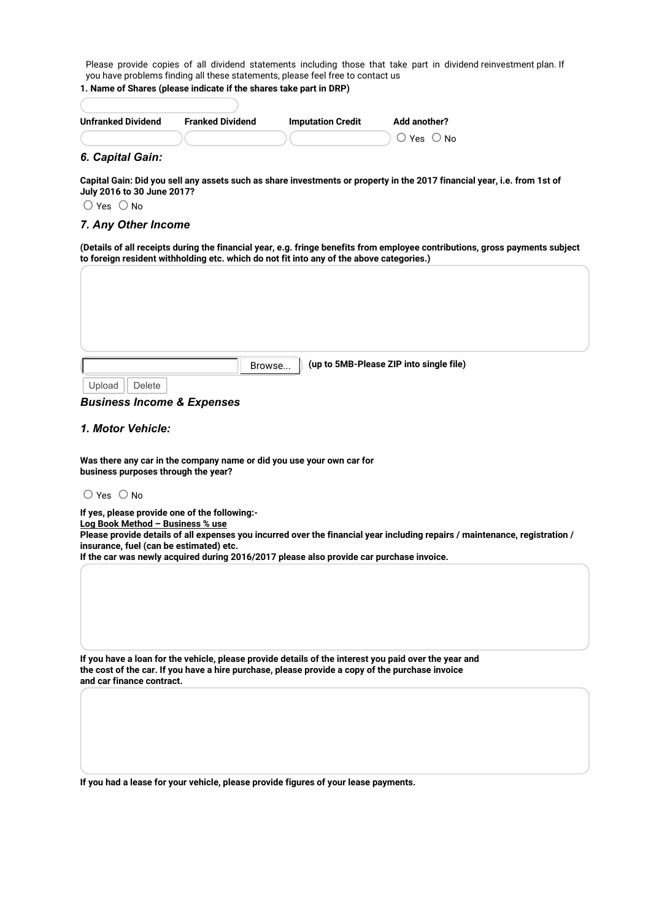Please provide copies of all dividend statements including those that take part in dividend reinvestment plan. If you have problems finding all these statements, please feel free to contact us

#### **1. Name of Shares (please indicate if the shares take part in DRP)**

| <b>Unfranked Dividend</b> | <b>Franked Dividend</b> | <b>Imputation Credit</b> | Add another?                 |
|---------------------------|-------------------------|--------------------------|------------------------------|
|                           |                         |                          | $\bigcirc$ Yes $\bigcirc$ No |

### *6. Capital Gain:*

**Capital Gain: Did you sell any assets such as share investments or property in the 2017 financial year, i.e. from 1st of July 2016 to 30 June 2017?**

 $\bigcirc$  Yes  $\bigcirc$  No

### *7. Any Other Income*

**(Details of all receipts during the financial year, e.g. fringe benefits from employee contributions, gross payments subject to foreign resident withholding etc. which do not fit into any of the above categories.)**

Browse...

**(up to 5MB-Please ZIP into single file)**

Upload  $\parallel$  Delete

*Business Income & Expenses*

### *1. Motor Vehicle:*

**Was there any car in the company name or did you use your own car for business purposes through the year?**

#### $\bigcirc$  Yes  $\bigcirc$  No

**If yes, please provide one of the following:-**

**Log Book Method – Business % use**

**Please provide details of all expenses you incurred over the financial year including repairs / maintenance, registration / insurance, fuel (can be estimated) etc.** 

**If the car was newly acquired during 2016/2017 please also provide car purchase invoice.**

**If you have a loan for the vehicle, please provide details of the interest you paid over the year and the cost of the car. If you have a hire purchase, please provide a copy of the purchase invoice and car finance contract.**

**If you had a lease for your vehicle, please provide figures of your lease payments.**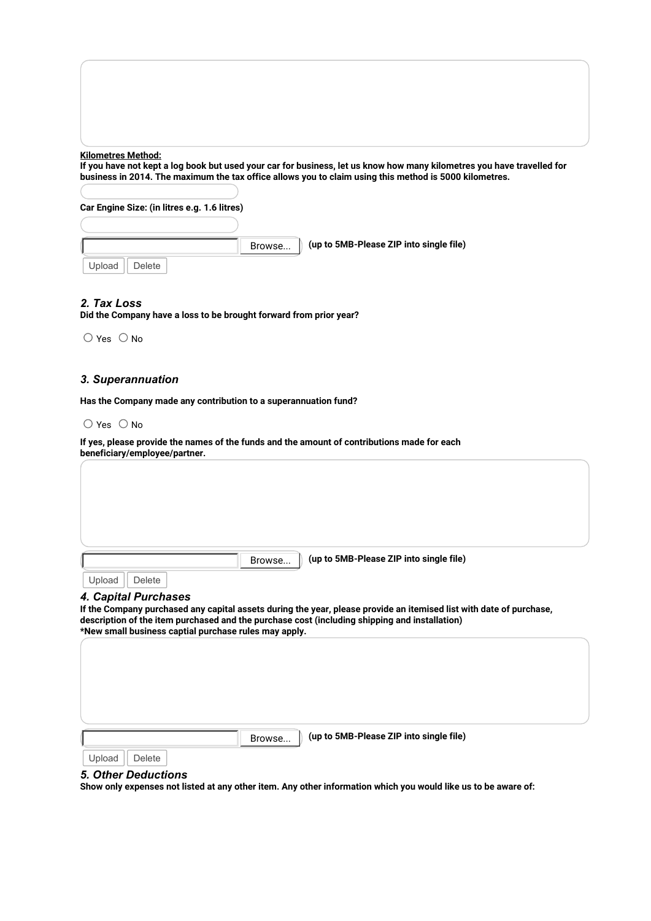**Kilometres Method:** 

**If you have not kept a log book but used your car for business, let us know how many kilometres you have travelled for business in 2014. The maximum the tax office allows you to claim using this method is 5000 kilometres.**

**Car Engine Size: (in litres e.g. 1.6 litres)**

|                     | Browse | (up to 5MB-Please ZIP into single file) |
|---------------------|--------|-----------------------------------------|
| Upload   <br>Delete |        |                                         |

# *2. Tax Loss*

**Did the Company have a loss to be brought forward from prior year?**

 $\bigcirc$  Yes  $\bigcirc$  No

## *3. Superannuation*

**Has the Company made any contribution to a superannuation fund?**

#### $\bigcirc$  Yes  $\bigcirc$  No

**If yes, please provide the names of the funds and the amount of contributions made for each beneficiary/employee/partner.**

|                         | Browse                                                | (up to 5MB-Please ZIP into single file)                                                                                                                                                                              |
|-------------------------|-------------------------------------------------------|----------------------------------------------------------------------------------------------------------------------------------------------------------------------------------------------------------------------|
| Upload<br><b>Delete</b> |                                                       |                                                                                                                                                                                                                      |
| 4. Capital Purchases    |                                                       | If the Company purchased any capital assets during the year, please provide an itemised list with date of purchase,<br>description of the item purchased and the purchase cost (including shipping and installation) |
|                         | *New small business captial purchase rules may apply. |                                                                                                                                                                                                                      |
|                         |                                                       |                                                                                                                                                                                                                      |
|                         |                                                       |                                                                                                                                                                                                                      |
|                         |                                                       |                                                                                                                                                                                                                      |
|                         |                                                       |                                                                                                                                                                                                                      |
|                         | Browse                                                | (up to 5MB-Please ZIP into single file)                                                                                                                                                                              |

#### *5. Other Deductions*

**Show only expenses not listed at any other item. Any other information which you would like us to be aware of:**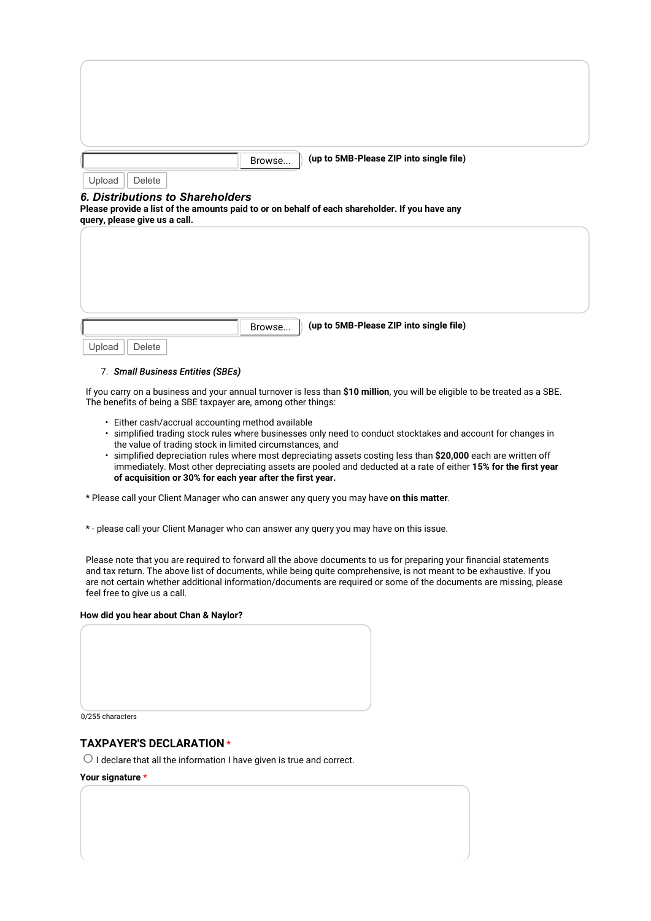|                                  | (up to 5MB-Please ZIP into single file)<br>Browse                                              |
|----------------------------------|------------------------------------------------------------------------------------------------|
| Upload<br><b>Delete</b>          |                                                                                                |
| 6. Distributions to Shareholders |                                                                                                |
|                                  | Please provide a list of the amounts paid to or on behalf of each shareholder. If you have any |
| query, please give us a call.    |                                                                                                |

|                  | Browse | │ (up to 5MB-Please ZIP into single file) |
|------------------|--------|-------------------------------------------|
| Upload<br>Delete |        |                                           |

#### 7. *Small Business Entities (SBEs)*

If you carry on a business and your annual turnover is less than **\$10 million**, you will be eligible to be treated as a SBE. The benefits of being a SBE taxpayer are, among other things:

- Either cash/accrual accounting method available
- simplified trading stock rules where businesses only need to conduct stocktakes and account for changes in the value of trading stock in limited circumstances, and
- simplified depreciation rules where most depreciating assets costing less than **\$20,000** each are written off immediately. Most other depreciating assets are pooled and deducted at a rate of either **15% for the first year of acquisition or 30% for each year after the first year.**

\* Please call your Client Manager who can answer any query you may have **on this matter**.

\* - please call your Client Manager who can answer any query you may have on this issue.

Please note that you are required to forward all the above documents to us for preparing your financial statements and tax return. The above list of documents, while being quite comprehensive, is not meant to be exhaustive. If you are not certain whether additional information/documents are required or some of the documents are missing, please feel free to give us a call.

#### **How did you hear about Chan & Naylor?**

| 0/255 characters |  |  |  |
|------------------|--|--|--|

# **TAXPAYER'S DECLARATION \***

 $\bigcirc$  I declare that all the information I have given is true and correct.

#### **Your signature \***